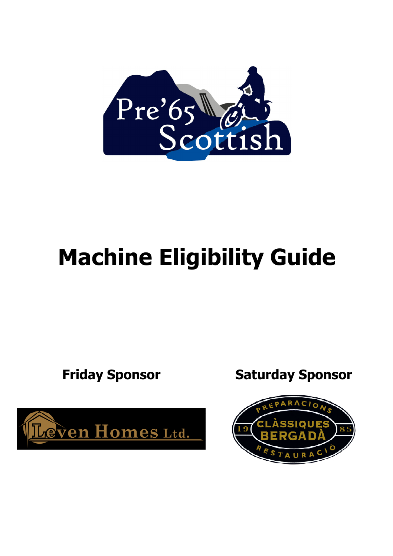

## Machine Eligibility Guide



Friday Sponsor Saturday Sponsor

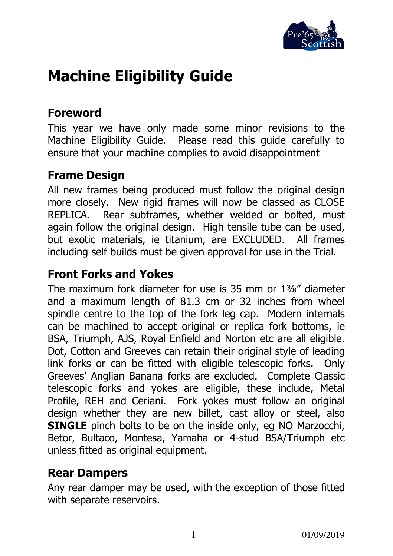

### Machine Eligibility Guide

#### Foreword

This year we have only made some minor revisions to the Machine Eligibility Guide. Please read this guide carefully to ensure that your machine complies to avoid disappointment

#### Frame Design

All new frames being produced must follow the original design more closely. New rigid frames will now be classed as CLOSE REPLICA. Rear subframes, whether welded or bolted, must again follow the original design. High tensile tube can be used, but exotic materials, ie titanium, are EXCLUDED. All frames including self builds must be given approval for use in the Trial.

#### Front Forks and Yokes

The maximum fork diameter for use is 35 mm or 1⅜" diameter and a maximum length of 81.3 cm or 32 inches from wheel spindle centre to the top of the fork leg cap. Modern internals can be machined to accept original or replica fork bottoms, ie BSA, Triumph, AJS, Royal Enfield and Norton etc are all eligible. Dot, Cotton and Greeves can retain their original style of leading link forks or can be fitted with eligible telescopic forks. Only Greeves' Anglian Banana forks are excluded. Complete Classic telescopic forks and yokes are eligible, these include, Metal Profile, REH and Ceriani. Fork yokes must follow an original design whether they are new billet, cast alloy or steel, also **SINGLE** pinch bolts to be on the inside only, eq NO Marzocchi, Betor, Bultaco, Montesa, Yamaha or 4-stud BSA/Triumph etc unless fitted as original equipment.

#### Rear Dampers

Any rear damper may be used, with the exception of those fitted with separate reservoirs.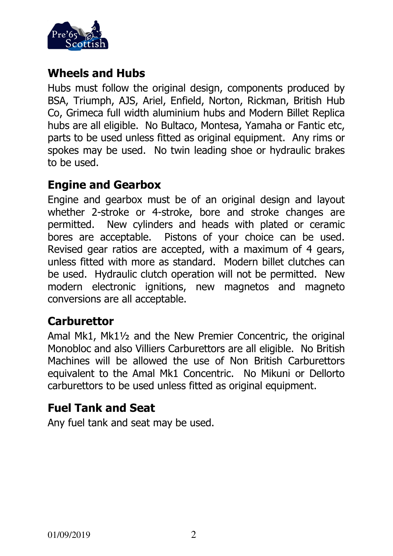

#### Wheels and Hubs

Hubs must follow the original design, components produced by BSA, Triumph, AJS, Ariel, Enfield, Norton, Rickman, British Hub Co, Grimeca full width aluminium hubs and Modern Billet Replica hubs are all eligible. No Bultaco, Montesa, Yamaha or Fantic etc, parts to be used unless fitted as original equipment. Any rims or spokes may be used. No twin leading shoe or hydraulic brakes to be used.

#### Engine and Gearbox

Engine and gearbox must be of an original design and layout whether 2-stroke or 4-stroke, bore and stroke changes are permitted. New cylinders and heads with plated or ceramic bores are acceptable. Pistons of your choice can be used. Revised gear ratios are accepted, with a maximum of 4 gears, unless fitted with more as standard. Modern billet clutches can be used. Hydraulic clutch operation will not be permitted. New modern electronic ignitions, new magnetos and magneto conversions are all acceptable.

#### **Carburettor**

Amal Mk1, Mk1½ and the New Premier Concentric, the original Monobloc and also Villiers Carburettors are all eligible. No British Machines will be allowed the use of Non British Carburettors equivalent to the Amal Mk1 Concentric. No Mikuni or Dellorto carburettors to be used unless fitted as original equipment.

#### Fuel Tank and Seat

Any fuel tank and seat may be used.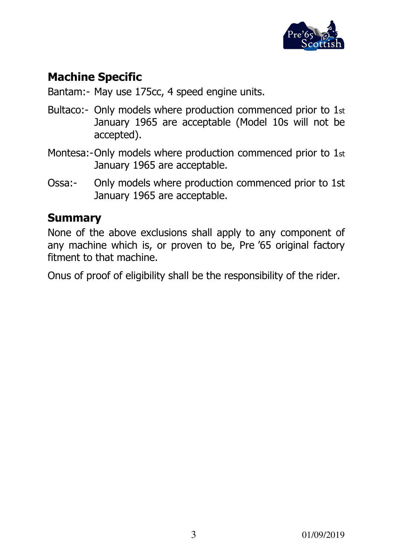

#### Machine Specific

Bantam:- May use 175cc, 4 speed engine units.

- Bultaco:- Only models where production commenced prior to 1st January 1965 are acceptable (Model 10s will not be accepted).
- Montesa:-Only models where production commenced prior to 1st January 1965 are acceptable.
- Ossa:- Only models where production commenced prior to 1st January 1965 are acceptable.

#### Summary

None of the above exclusions shall apply to any component of any machine which is, or proven to be, Pre '65 original factory fitment to that machine.

Onus of proof of eligibility shall be the responsibility of the rider.